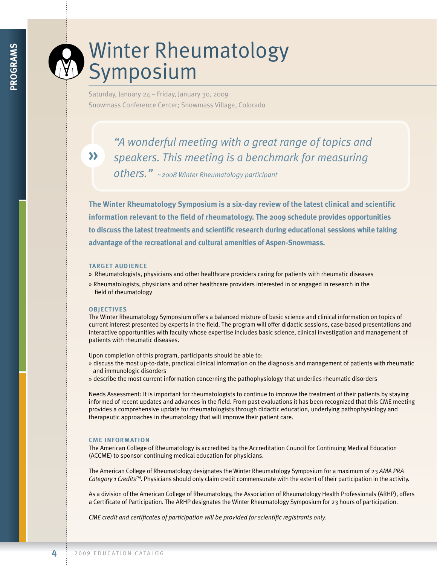# Winter Rheumatology **Symposium**

Saturday, January 24 – Friday, January 30, 2009 Snowmass Conference Center; Snowmass Village, Colorado

**»**

*"A wonderful meeting with a great range of topics and speakers. This meeting is a benchmark for measuring others." ~2008 Winter Rheumatology participant*

**The Winter Rheumatology symposium is a six-day review of the latest clinical and scientific information relevant to the field of rheumatology. The 2009 schedule provides opportunities to discuss the latest treatments and scientific research during educational sessions while taking advantage of the recreational and cultural amenities of Aspen-snowmass.**

# **TARGET AudiENCE**

- » Rheumatologists, physicians and other healthcare providers caring for patients with rheumatic diseases
- » Rheumatologists, physicians and other healthcare providers interested in or engaged in research in the field of rheumatology

## **objECTivEs**

The Winter Rheumatology Symposium offers a balanced mixture of basic science and clinical information on topics of current interest presented by experts in the field. The program will offer didactic sessions, case-based presentations and interactive opportunities with faculty whose expertise includes basic science, clinical investigation and management of patients with rheumatic diseases.

Upon completion of this program, participants should be able to:

- » discuss the most up-to-date, practical clinical information on the diagnosis and management of patients with rheumatic and immunologic disorders
- » describe the most current information concerning the pathophysiology that underlies rheumatic disorders

Needs Assessment: It is important for rheumatologists to continue to improve the treatment of their patients by staying informed of recent updates and advances in the field. From past evaluations it has been recognized that this CME meeting provides a comprehensive update for rheumatologists through didactic education, underlying pathophysiology and therapeutic approaches in rheumatology that will improve their patient care.

# **CME iNfoRMATioN**

The American College of Rheumatology is accredited by the Accreditation Council for Continuing Medical Education (ACCME) to sponsor continuing medical education for physicians.

The American College of Rheumatology designates the Winter Rheumatology Symposium for a maximum of 23 *AMA PRA Category 1 CreditsTM*. Physicians should only claim credit commensurate with the extent of their participation in the activity.

As a division of the American College of Rheumatology, the Association of Rheumatology Health Professionals (ARHP), offers a Certificate of Participation. The ARHP designates the Winter Rheumatology Symposium for 23 hours of participation.

*CME credit and certificates of participation will be provided for scientific registrants only.*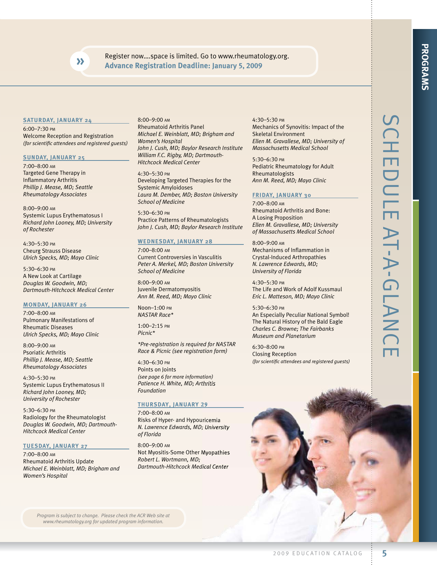Register now….space is limited. Go to www.rheumatology.org. **» Advance Registration deadline: january 5, 2009**

## **sATuRdAy, jANuARy 24**

6:00–7:30 pm Welcome Reception and Registration *(for scientific attendees and registered guests)*

### **suNdAy, jANuARy 25**

7:00–8:00 am Targeted Gene Therapy in Inflammatory Arthritis *Phillip J. Mease, MD; Seattle Rheumatology Associates* 

8:00–9:00 am Systemic Lupus Erythematosus I *Richard John Looney, MD; University of Rochester* 

4:30–5:30 pm Cheurg Strauss Disease *Ulrich Specks, MD; Mayo Clinic*

5:30–6:30 pm A New Look at Cartilage *Douglas W. Goodwin, MD; Dartmouth-Hitchcock Medical Center*

## **MoNdAy, jANuARy 26**

7:00–8:00 am Pulmonary Manifestations of Rheumatic Diseases *Ulrich Specks, MD; Mayo Clinic*

8:00–9:00 am Psoriatic Arthritis *Phillip J. Mease, MD; Seattle Rheumatology Associates*

4:30–5:30 pm Systemic Lupus Erythematosus II *Richard John Looney, MD; University of Rochester*

5:30–6:30 pm Radiology for the Rheumatologist *Douglas W. Goodwin, MD; Dartmouth-Hitchcock Medical Center*

#### **TuEsdAy, jANuARy 27**

7:00–8:00 am Rheumatoid Arthritis Update *Michael E. Weinblatt, MD; Brigham and Women's Hospital*

8:00–9:00 am Rheumatoid Arthritis Panel *Michael E. Weinblatt, MD; Brigham and Women's Hospital John J. Cush, MD; Baylor Research Institute William F.C. Rigby, MD; Dartmouth-Hitchcock Medical Center*

4:30–5:30 pm Developing Targeted Therapies for the Systemic Amyloidoses *Laura M. Dember, MD; Boston University School of Medicine*

5:30–6:30 pm Practice Patterns of Rheumatologists *John J. Cush, MD; Baylor Research Institute*

# **WEdNEsdAy, jANuARy 28**

7:00–8:00 am Current Controversies in Vasculitis *Peter A. Merkel, MD; Boston University School of Medicine*

8:00–9:00 am Juvenile Dermatomyositis *Ann M. Reed, MD; Mayo Clinic*

Noon–1:00 pm *NASTAR Race\**

1:00–2:15 pm *Picnic\**

*\*Pre-registration is required for NASTAR Race & Picnic (see registration form)*

4:30–6:30 pm Points on Joints *(see page 6 for more information) Patience H. White, MD; Arthritis Foundation*

## **Thursday, January 29**

7:00–8:00 am Risks of Hyper- and Hypouricemia *N. Lawrence Edwards, MD; University of Florida*

8:00–9:00 am Not Myositis-Some Other Myopathies *Robert L. Wortmann, MD; Dartmouth-Hitchcock Medical Center*

4:30–5:30 pm Mechanics of Synovitis: Impact of the Skeletal Environment *Ellen M. Gravallese, MD; University of Massachusetts Medical School*

5:30–6:30 pm Pediatric Rheumatology for Adult Rheumatologists *Ann M. Reed, MD; Mayo Clinic*

#### **fRidAy, jANuARy 30**

7:00–8:00 am Rheumatoid Arthritis and Bone: A Losing Proposition *Ellen M. Gravallese, MD; University of Massachusetts Medical School*

8:00–9:00 am Mechanisms of Inflammation in Crystal-Induced Arthropathies *N. Lawrence Edwards, MD; University of Florida*

4:30–5:30 pm The Life and Work of Adolf Kussmaul *Eric L. Matteson, MD; Mayo Clinic*

## 5:30–6:30 pm

An Especially Peculiar National Symbol! The Natural History of the Bald Eagle *Charles C. Browne; The Fairbanks Museum and Planetarium*

6:30–8:00 pm Closing Reception *(for scientific attendees and registered guests)*





*Program is subject to change. Please check the ACR Web site at www.rheumatology.org for updated program information.*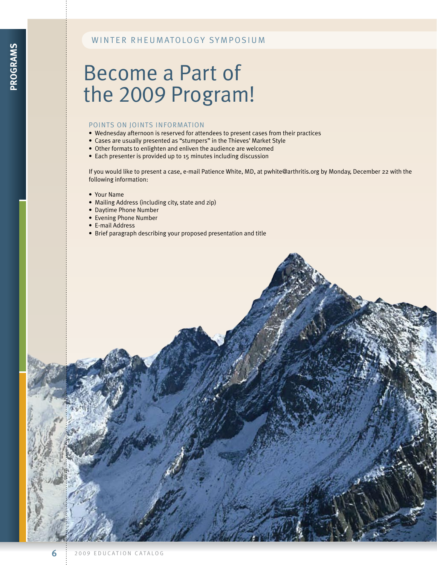# WINTER RHEUMATOLOGY SYMPOSIUM

# Become a Part of the 2009 Program!

# POINTS ON JOINTS INFORMATION

- Wednesday afternoon is reserved for attendees to present cases from their practices
- Cases are usually presented as "stumpers" in the Thieves' Market Style
- Other formats to enlighten and enliven the audience are welcomed
- Each presenter is provided up to 15 minutes including discussion

If you would like to present a case, e-mail Patience White, MD, at pwhite@arthritis.org by Monday, December 22 with the following information:

- Your Name
- Mailing Address (including city, state and zip)
- Daytime Phone Number
- Evening Phone Number
- E-mail Address
- Brief paragraph describing your proposed presentation and title